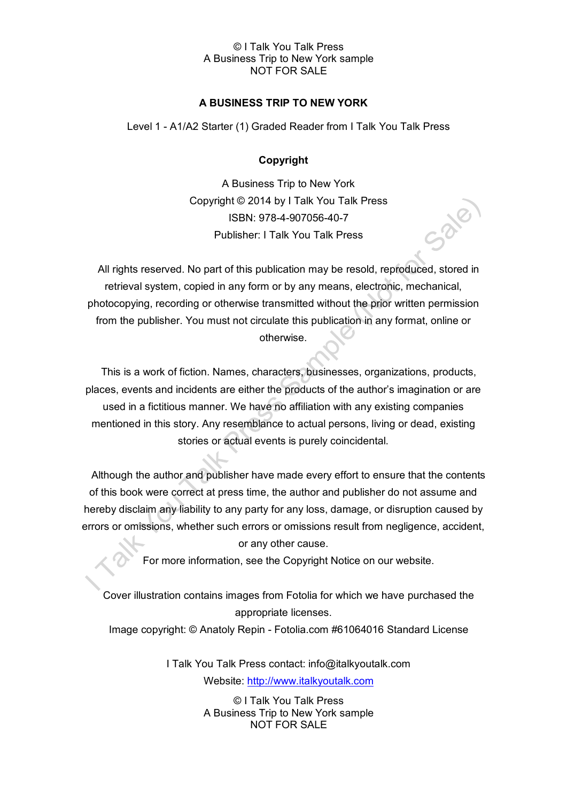# **A BUSINESS TRIP TO NEW YORK**

Level 1 - A1/A2 Starter (1) Graded Reader from I Talk You Talk Press

## **Copyright**

A Business Trip to New York Copyright © 2014 by I Talk You Talk Press ISBN: 978-4-907056-40-7 Publisher: I Talk You Talk Press

All rights reserved. No part of this publication may be resold, reproduced, stored in retrieval system, copied in any form or by any means, electronic, mechanical, photocopying, recording or otherwise transmitted without the prior written permission from the publisher. You must not circulate this publication in any format, online or otherwise.

This is a work of fiction. Names, characters, businesses, organizations, products, places, events and incidents are either the products of the author's imagination or are used in a fictitious manner. We have no affiliation with any existing companies mentioned in this story. Any resemblance to actual persons, living or dead, existing stories or actual events is purely coincidental.

Although the author and publisher have made every effort to ensure that the contents of this book were correct at press time, the author and publisher do not assume and hereby disclaim any liability to any party for any loss, damage, or disruption caused by errors or omissions, whether such errors or omissions result from negligence, accident, or any other cause.

For more information, see the Copyright Notice on our website.

Cover illustration contains images from Fotolia for which we have purchased the appropriate licenses.

Image copyright: © Anatoly Repin - Fotolia.com #61064016 Standard License

I Talk You Talk Press contact: info@italkyoutalk.com Website: [http://www.italkyoutalk.com](http://www.italkyoutalk.com/)

> © I Talk You Talk Press A Business Trip to New York sample NOT FOR SALE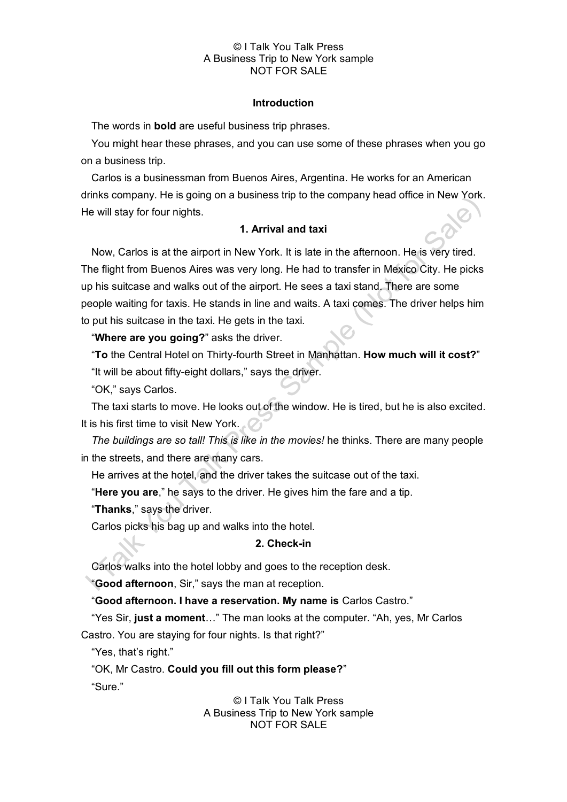#### **Introduction**

The words in **bold** are useful business trip phrases.

You might hear these phrases, and you can use some of these phrases when you go on a business trip.

Carlos is a businessman from Buenos Aires, Argentina. He works for an American drinks company. He is going on a business trip to the company head office in New York. He will stay for four nights.

# **1. Arrival and taxi**

Now, Carlos is at the airport in New York. It is late in the afternoon. He is very tired. The flight from Buenos Aires was very long. He had to transfer in Mexico City. He picks up his suitcase and walks out of the airport. He sees a taxi stand. There are some people waiting for taxis. He stands in line and waits. A taxi comes. The driver helps him to put his suitcase in the taxi. He gets in the taxi.

## "**Where are you going?**" asks the driver.

"**To** the Central Hotel on Thirty-fourth Street in Manhattan. **How much will it cost?**" "It will be about fifty-eight dollars," says the driver.

"OK," says Carlos.

The taxi starts to move. He looks out of the window. He is tired, but he is also excited. It is his first time to visit New York.

*The buildings are so tall! This is like in the movies!* he thinks. There are many people in the streets, and there are many cars.

He arrives at the hotel, and the driver takes the suitcase out of the taxi.

"**Here you are**," he says to the driver. He gives him the fare and a tip.

"**Thanks**," says the driver.

Carlos picks his bag up and walks into the hotel.

## **2. Check-in**

Carlos walks into the hotel lobby and goes to the reception desk.

"**Good afternoon**, Sir," says the man at reception.

"**Good afternoon. I have a reservation. My name is** Carlos Castro."

"Yes Sir, **just a moment**…" The man looks at the computer. "Ah, yes, Mr Carlos

Castro. You are staying for four nights. Is that right?"

"Yes, that's right."

"OK, Mr Castro. **Could you fill out this form please?**"

"Sure."

© I Talk You Talk Press A Business Trip to New York sample NOT FOR SALE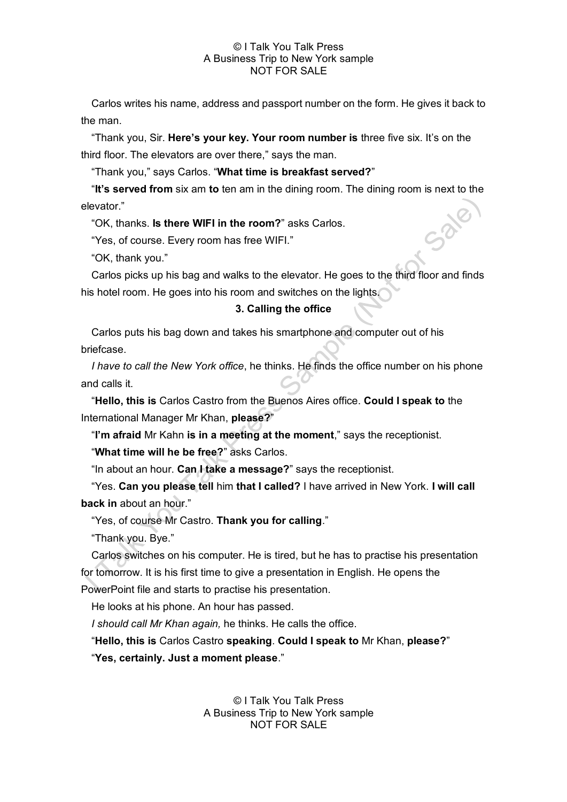Carlos writes his name, address and passport number on the form. He gives it back to the man.

"Thank you, Sir. **Here's your key. Your room number is** three five six. It's on the third floor. The elevators are over there," says the man.

"Thank you," says Carlos. "**What time is breakfast served?**"

"**It's served from** six am **to** ten am in the dining room. The dining room is next to the elevator."

"OK, thanks. **Is there WIFI in the room?**" asks Carlos.

"Yes, of course. Every room has free WIFI."

"OK, thank you."

Carlos picks up his bag and walks to the elevator. He goes to the third floor and finds his hotel room. He goes into his room and switches on the lights.

# **3. Calling the office**

Carlos puts his bag down and takes his smartphone and computer out of his briefcase.

*I have to call the New York office*, he thinks. He finds the office number on his phone and calls it.

"**Hello, this is** Carlos Castro from the Buenos Aires office. **Could I speak to** the International Manager Mr Khan, **please?**"

"**I'm afraid** Mr Kahn **is in a meeting at the moment**," says the receptionist.

"**What time will he be free?**" asks Carlos.

"In about an hour. **Can I take a message?**" says the receptionist.

"Yes. **Can you please tell** him **that I called?** I have arrived in New York. **I will call back in** about an hour."

"Yes, of course Mr Castro. **Thank you for calling**."

"Thank you. Bye."

Carlos switches on his computer. He is tired, but he has to practise his presentation for tomorrow. It is his first time to give a presentation in English. He opens the

PowerPoint file and starts to practise his presentation.

He looks at his phone. An hour has passed.

*I should call Mr Khan again,* he thinks. He calls the office.

"**Hello, this is** Carlos Castro **speaking**. **Could I speak to** Mr Khan, **please?**"

"**Yes, certainly. Just a moment please**."

© I Talk You Talk Press A Business Trip to New York sample NOT FOR SALE